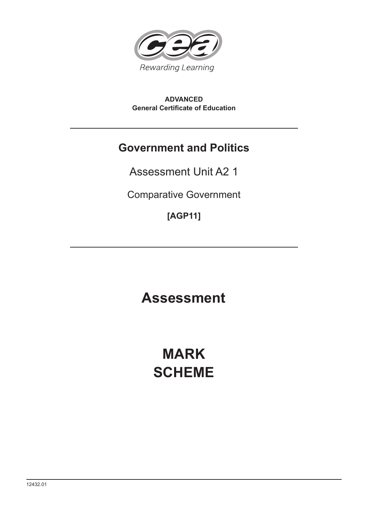

**ADVANCED General Certificate of Education**

# **Government and Politics**

Assessment Unit A2 1

Comparative Government

**[AGP11]**

**Assessment Assessment**

# **MARK SCHEME**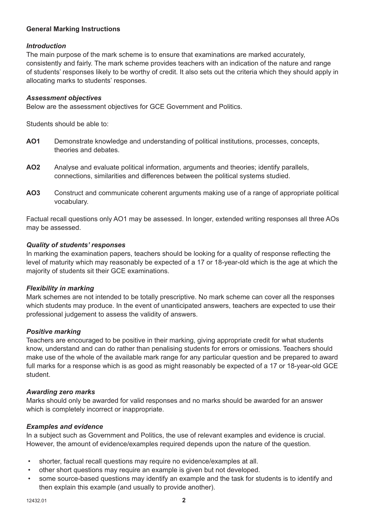#### **General Marking Instructions**

#### *Introduction*

The main purpose of the mark scheme is to ensure that examinations are marked accurately, consistently and fairly. The mark scheme provides teachers with an indication of the nature and range of students' responses likely to be worthy of credit. It also sets out the criteria which they should apply in allocating marks to students' responses.

#### *Assessment objectives*

Below are the assessment objectives for GCE Government and Politics.

Students should be able to:

- **AO1** Demonstrate knowledge and understanding of political institutions, processes, concepts, theories and debates.
- **AO2** Analyse and evaluate political information, arguments and theories; identify parallels, connections, similarities and differences between the political systems studied.
- **AO3** Construct and communicate coherent arguments making use of a range of appropriate political vocabulary.

Factual recall questions only AO1 may be assessed. In longer, extended writing responses all three AOs may be assessed.

#### *Quality of students' responses*

In marking the examination papers, teachers should be looking for a quality of response reflecting the level of maturity which may reasonably be expected of a 17 or 18-year-old which is the age at which the majority of students sit their GCE examinations.

#### *Flexibility in marking*

Mark schemes are not intended to be totally prescriptive. No mark scheme can cover all the responses which students may produce. In the event of unanticipated answers, teachers are expected to use their professional judgement to assess the validity of answers.

#### *Positive marking*

Teachers are encouraged to be positive in their marking, giving appropriate credit for what students know, understand and can do rather than penalising students for errors or omissions. Teachers should make use of the whole of the available mark range for any particular question and be prepared to award full marks for a response which is as good as might reasonably be expected of a 17 or 18-year-old GCE student.

#### *Awarding zero marks*

Marks should only be awarded for valid responses and no marks should be awarded for an answer which is completely incorrect or inappropriate.

#### *Examples and evidence*

In a subject such as Government and Politics, the use of relevant examples and evidence is crucial. However, the amount of evidence/examples required depends upon the nature of the question.

- shorter, factual recall questions may require no evidence/examples at all.
- other short questions may require an example is given but not developed.
- some source-based questions may identify an example and the task for students is to identify and then explain this example (and usually to provide another).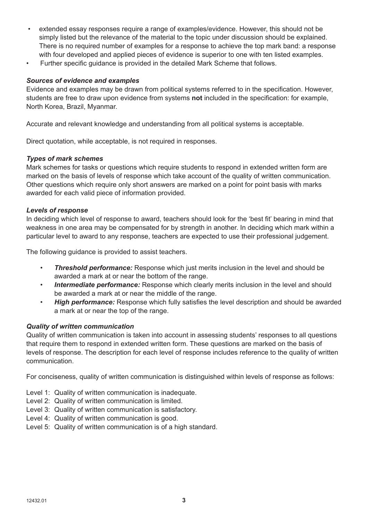- extended essay responses require a range of examples/evidence. However, this should not be simply listed but the relevance of the material to the topic under discussion should be explained. There is no required number of examples for a response to achieve the top mark band: a response with four developed and applied pieces of evidence is superior to one with ten listed examples.
- Further specific guidance is provided in the detailed Mark Scheme that follows.

#### *Sources of evidence and examples*

Evidence and examples may be drawn from political systems referred to in the specification. However, students are free to draw upon evidence from systems **not** included in the specification: for example, North Korea, Brazil, Myanmar.

Accurate and relevant knowledge and understanding from all political systems is acceptable.

Direct quotation, while acceptable, is not required in responses.

#### *Types of mark schemes*

Mark schemes for tasks or questions which require students to respond in extended written form are marked on the basis of levels of response which take account of the quality of written communication. Other questions which require only short answers are marked on a point for point basis with marks awarded for each valid piece of information provided.

#### *Levels of response*

In deciding which level of response to award, teachers should look for the 'best fit' bearing in mind that weakness in one area may be compensated for by strength in another. In deciding which mark within a particular level to award to any response, teachers are expected to use their professional judgement.

The following guidance is provided to assist teachers.

- *Threshold performance:* Response which just merits inclusion in the level and should be awarded a mark at or near the bottom of the range.
- *Intermediate performance:* Response which clearly merits inclusion in the level and should be awarded a mark at or near the middle of the range.
- *High performance:* Response which fully satisfies the level description and should be awarded a mark at or near the top of the range.

#### *Quality of written communication*

Quality of written communication is taken into account in assessing students' responses to all questions that require them to respond in extended written form. These questions are marked on the basis of levels of response. The description for each level of response includes reference to the quality of written communication.

For conciseness, quality of written communication is distinguished within levels of response as follows:

- Level 1: Quality of written communication is inadequate.
- Level 2: Quality of written communication is limited.
- Level 3: Quality of written communication is satisfactory.
- Level 4: Quality of written communication is good.
- Level 5: Quality of written communication is of a high standard.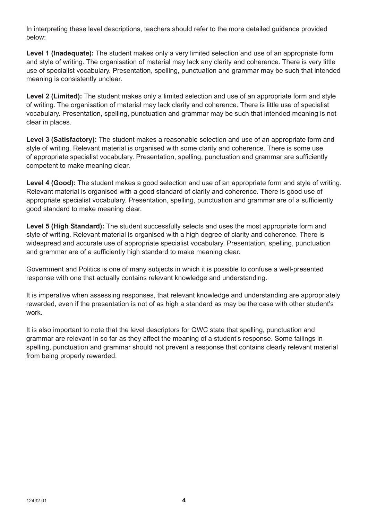In interpreting these level descriptions, teachers should refer to the more detailed guidance provided below:

**Level 1 (Inadequate):** The student makes only a very limited selection and use of an appropriate form and style of writing. The organisation of material may lack any clarity and coherence. There is very little use of specialist vocabulary. Presentation, spelling, punctuation and grammar may be such that intended meaning is consistently unclear.

**Level 2 (Limited):** The student makes only a limited selection and use of an appropriate form and style of writing. The organisation of material may lack clarity and coherence. There is little use of specialist vocabulary. Presentation, spelling, punctuation and grammar may be such that intended meaning is not clear in places.

**Level 3 (Satisfactory):** The student makes a reasonable selection and use of an appropriate form and style of writing. Relevant material is organised with some clarity and coherence. There is some use of appropriate specialist vocabulary. Presentation, spelling, punctuation and grammar are sufficiently competent to make meaning clear.

**Level 4 (Good):** The student makes a good selection and use of an appropriate form and style of writing. Relevant material is organised with a good standard of clarity and coherence. There is good use of appropriate specialist vocabulary. Presentation, spelling, punctuation and grammar are of a sufficiently good standard to make meaning clear.

**Level 5 (High Standard):** The student successfully selects and uses the most appropriate form and style of writing. Relevant material is organised with a high degree of clarity and coherence. There is widespread and accurate use of appropriate specialist vocabulary. Presentation, spelling, punctuation and grammar are of a sufficiently high standard to make meaning clear.

Government and Politics is one of many subjects in which it is possible to confuse a well-presented response with one that actually contains relevant knowledge and understanding.

It is imperative when assessing responses, that relevant knowledge and understanding are appropriately rewarded, even if the presentation is not of as high a standard as may be the case with other student's work.

It is also important to note that the level descriptors for QWC state that spelling, punctuation and grammar are relevant in so far as they affect the meaning of a student's response. Some failings in spelling, punctuation and grammar should not prevent a response that contains clearly relevant material from being properly rewarded.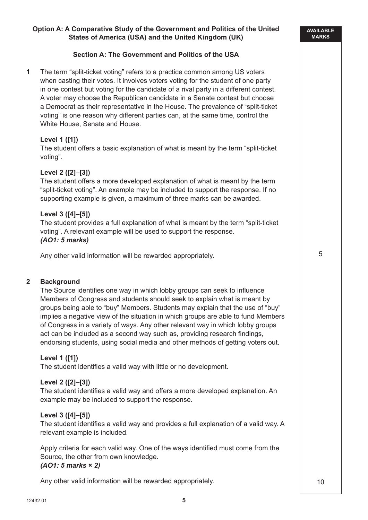# **Option A: A Comparative Study of the Government and Politics of the United States of America (USA) and the United Kingdom (UK)**

#### **Section A: The Government and Politics of the USA**

**1** The term "split-ticket voting" refers to a practice common among US voters when casting their votes. It involves voters voting for the student of one party in one contest but voting for the candidate of a rival party in a different contest. A voter may choose the Republican candidate in a Senate contest but choose a Democrat as their representative in the House. The prevalence of "split-ticket voting" is one reason why different parties can, at the same time, control the White House, Senate and House.

#### **Level 1 ([1])**

The student offers a basic explanation of what is meant by the term "split-ticket voting".

#### **Level 2 ([2]–[3])**

The student offers a more developed explanation of what is meant by the term "split-ticket voting". An example may be included to support the response. If no supporting example is given, a maximum of three marks can be awarded.

#### **Level 3 ([4]–[5])**

The student provides a full explanation of what is meant by the term "split-ticket voting". A relevant example will be used to support the response. *(AO1: 5 marks)*

Any other valid information will be rewarded appropriately.

#### **2 Background**

The Source identifies one way in which lobby groups can seek to influence Members of Congress and students should seek to explain what is meant by groups being able to "buy" Members. Students may explain that the use of "buy" implies a negative view of the situation in which groups are able to fund Members of Congress in a variety of ways. Any other relevant way in which lobby groups act can be included as a second way such as, providing research findings, endorsing students, using social media and other methods of getting voters out.

#### **Level 1 ([1])**

The student identifies a valid way with little or no development.

#### **Level 2 ([2]–[3])**

The student identifies a valid way and offers a more developed explanation. An example may be included to support the response.

#### **Level 3 ([4]–[5])**

The student identifies a valid way and provides a full explanation of a valid way. A relevant example is included.

Apply criteria for each valid way. One of the ways identified must come from the Source, the other from own knowledge. *(AO1: 5 marks* **×** *2)*

Any other valid information will be rewarded appropriately.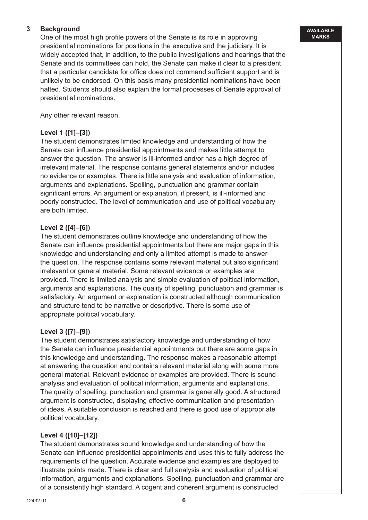### **3 Background**

One of the most high profile powers of the Senate is its role in approving presidential nominations for positions in the executive and the judiciary. It is widely accepted that, in addition, to the public investigations and hearings that the Senate and its committees can hold, the Senate can make it clear to a president that a particular candidate for office does not command sufficient support and is unlikely to be endorsed. On this basis many presidential nominations have been halted. Students should also explain the formal processes of Senate approval of presidential nominations.

Any other relevant reason.

#### **Level 1 ([1]–[3])**

The student demonstrates limited knowledge and understanding of how the Senate can influence presidential appointments and makes little attempt to answer the question. The answer is ill-informed and/or has a high degree of irrelevant material. The response contains general statements and/or includes no evidence or examples. There is little analysis and evaluation of information, arguments and explanations. Spelling, punctuation and grammar contain significant errors. An argument or explanation, if present, is ill-informed and poorly constructed. The level of communication and use of political vocabulary are both limited.

#### **Level 2 ([4]–[6])**

The student demonstrates outline knowledge and understanding of how the Senate can influence presidential appointments but there are major gaps in this knowledge and understanding and only a limited attempt is made to answer the question. The response contains some relevant material but also significant irrelevant or general material. Some relevant evidence or examples are provided. There is limited analysis and simple evaluation of political information, arguments and explanations. The quality of spelling, punctuation and grammar is satisfactory. An argument or explanation is constructed although communication and structure tend to be narrative or descriptive. There is some use of appropriate political vocabulary.

#### **Level 3 ([7]–[9])**

The student demonstrates satisfactory knowledge and understanding of how the Senate can influence presidential appointments but there are some gaps in this knowledge and understanding. The response makes a reasonable attempt at answering the question and contains relevant material along with some more general material. Relevant evidence or examples are provided. There is sound analysis and evaluation of political information, arguments and explanations. The quality of spelling, punctuation and grammar is generally good. A structured argument is constructed, displaying effective communication and presentation of ideas. A suitable conclusion is reached and there is good use of appropriate political vocabulary.

#### **Level 4 ([10]–[12])**

The student demonstrates sound knowledge and understanding of how the Senate can influence presidential appointments and uses this to fully address the requirements of the question. Accurate evidence and examples are deployed to illustrate points made. There is clear and full analysis and evaluation of political information, arguments and explanations. Spelling, punctuation and grammar are of a consistently high standard. A cogent and coherent argument is constructed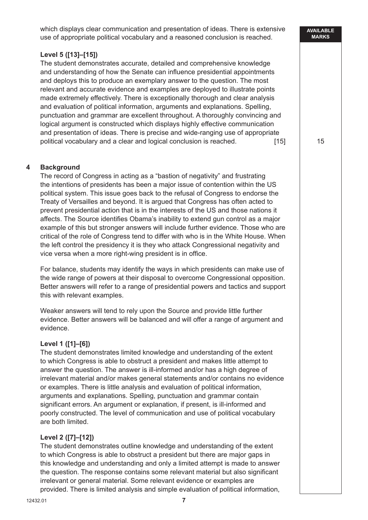which displays clear communication and presentation of ideas. There is extensive use of appropriate political vocabulary and a reasoned conclusion is reached.

#### **Level 5 ([13]–[15])**

The student demonstrates accurate, detailed and comprehensive knowledge and understanding of how the Senate can influence presidential appointments and deploys this to produce an exemplary answer to the question. The most relevant and accurate evidence and examples are deployed to illustrate points made extremely effectively. There is exceptionally thorough and clear analysis and evaluation of political information, arguments and explanations. Spelling, punctuation and grammar are excellent throughout. A thoroughly convincing and logical argument is constructed which displays highly effective communication and presentation of ideas. There is precise and wide-ranging use of appropriate political vocabulary and a clear and logical conclusion is reached. [15]

#### **4 Background**

The record of Congress in acting as a "bastion of negativity" and frustrating the intentions of presidents has been a major issue of contention within the US political system. This issue goes back to the refusal of Congress to endorse the Treaty of Versailles and beyond. It is argued that Congress has often acted to prevent presidential action that is in the interests of the US and those nations it affects. The Source identifies Obama's inability to extend gun control as a major example of this but stronger answers will include further evidence. Those who are critical of the role of Congress tend to differ with who is in the White House. When the left control the presidency it is they who attack Congressional negativity and vice versa when a more right-wing president is in office.

For balance, students may identify the ways in which presidents can make use of the wide range of powers at their disposal to overcome Congressional opposition. Better answers will refer to a range of presidential powers and tactics and support this with relevant examples.

Weaker answers will tend to rely upon the Source and provide little further evidence. Better answers will be balanced and will offer a range of argument and evidence.

#### **Level 1 ([1]–[6])**

The student demonstrates limited knowledge and understanding of the extent to which Congress is able to obstruct a president and makes little attempt to answer the question. The answer is ill-informed and/or has a high degree of irrelevant material and/or makes general statements and/or contains no evidence or examples. There is little analysis and evaluation of political information, arguments and explanations. Spelling, punctuation and grammar contain significant errors. An argument or explanation, if present, is ill-informed and poorly constructed. The level of communication and use of political vocabulary are both limited.

#### **Level 2 ([7]–[12])**

The student demonstrates outline knowledge and understanding of the extent to which Congress is able to obstruct a president but there are major gaps in this knowledge and understanding and only a limited attempt is made to answer the question. The response contains some relevant material but also significant irrelevant or general material. Some relevant evidence or examples are provided. There is limited analysis and simple evaluation of political information,

#### **AVAILABLE MARKS**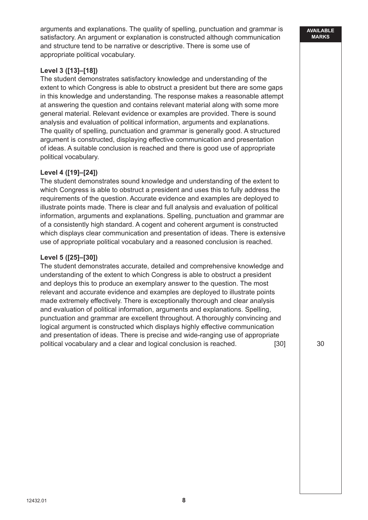arguments and explanations. The quality of spelling, punctuation and grammar is satisfactory. An argument or explanation is constructed although communication and structure tend to be narrative or descriptive. There is some use of appropriate political vocabulary.

# **Level 3 ([13]–[18])**

The student demonstrates satisfactory knowledge and understanding of the extent to which Congress is able to obstruct a president but there are some gaps in this knowledge and understanding. The response makes a reasonable attempt at answering the question and contains relevant material along with some more general material. Relevant evidence or examples are provided. There is sound analysis and evaluation of political information, arguments and explanations. The quality of spelling, punctuation and grammar is generally good. A structured argument is constructed, displaying effective communication and presentation of ideas. A suitable conclusion is reached and there is good use of appropriate political vocabulary.

#### **Level 4 ([19]–[24])**

The student demonstrates sound knowledge and understanding of the extent to which Congress is able to obstruct a president and uses this to fully address the requirements of the question. Accurate evidence and examples are deployed to illustrate points made. There is clear and full analysis and evaluation of political information, arguments and explanations. Spelling, punctuation and grammar are of a consistently high standard. A cogent and coherent argument is constructed which displays clear communication and presentation of ideas. There is extensive use of appropriate political vocabulary and a reasoned conclusion is reached.

#### **Level 5 ([25]–[30])**

The student demonstrates accurate, detailed and comprehensive knowledge and understanding of the extent to which Congress is able to obstruct a president and deploys this to produce an exemplary answer to the question. The most relevant and accurate evidence and examples are deployed to illustrate points made extremely effectively. There is exceptionally thorough and clear analysis and evaluation of political information, arguments and explanations. Spelling, punctuation and grammar are excellent throughout. A thoroughly convincing and logical argument is constructed which displays highly effective communication and presentation of ideas. There is precise and wide-ranging use of appropriate political vocabulary and a clear and logical conclusion is reached. [30]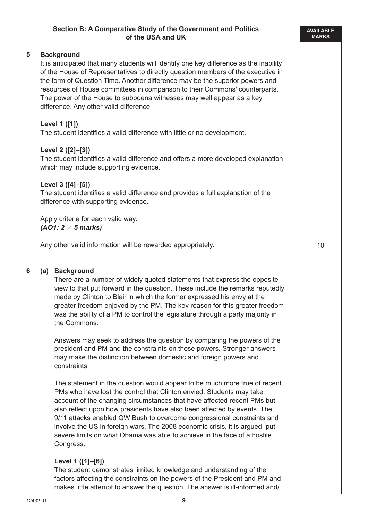#### **Section B: A Comparative Study of the Government and Politics of the USA and UK**

#### **5 Background**

It is anticipated that many students will identify one key difference as the inability of the House of Representatives to directly question members of the executive in the form of Question Time. Another difference may be the superior powers and resources of House committees in comparison to their Commons' counterparts. The power of the House to subpoena witnesses may well appear as a key difference. Any other valid difference.

#### **Level 1 ([1])**

The student identifies a valid difference with little or no development.

#### **Level 2 ([2]–[3])**

The student identifies a valid difference and offers a more developed explanation which may include supporting evidence.

#### **Level 3 ([4]–[5])**

The student identifies a valid difference and provides a full explanation of the difference with supporting evidence.

Apply criteria for each valid way. *(AO1: 2 5 marks)*

Any other valid information will be rewarded appropriately.

#### **6 (a) Background**

There are a number of widely quoted statements that express the opposite view to that put forward in the question. These include the remarks reputedly made by Clinton to Blair in which the former expressed his envy at the greater freedom enjoyed by the PM. The key reason for this greater freedom was the ability of a PM to control the legislature through a party majority in the Commons.

Answers may seek to address the question by comparing the powers of the president and PM and the constraints on those powers. Stronger answers may make the distinction between domestic and foreign powers and constraints.

The statement in the question would appear to be much more true of recent PMs who have lost the control that Clinton envied. Students may take account of the changing circumstances that have affected recent PMs but also reflect upon how presidents have also been affected by events. The 9/11 attacks enabled GW Bush to overcome congressional constraints and involve the US in foreign wars. The 2008 economic crisis, it is argued, put severe limits on what Obama was able to achieve in the face of a hostile Congress.

#### **Level 1 ([1]–[6])**

The student demonstrates limited knowledge and understanding of the factors affecting the constraints on the powers of the President and PM and makes little attempt to answer the question. The answer is ill-informed and/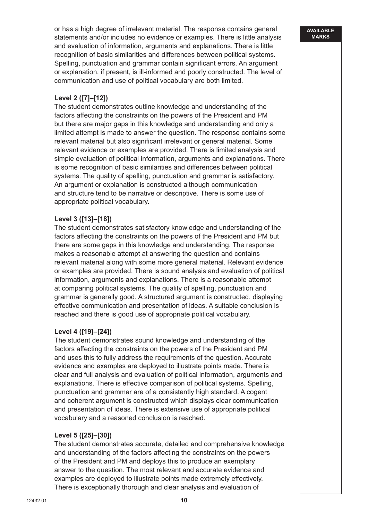or has a high degree of irrelevant material. The response contains general statements and/or includes no evidence or examples. There is little analysis and evaluation of information, arguments and explanations. There is little recognition of basic similarities and differences between political systems. Spelling, punctuation and grammar contain significant errors. An argument or explanation, if present, is ill-informed and poorly constructed. The level of communication and use of political vocabulary are both limited.

#### **Level 2 ([7]–[12])**

The student demonstrates outline knowledge and understanding of the factors affecting the constraints on the powers of the President and PM but there are major gaps in this knowledge and understanding and only a limited attempt is made to answer the question. The response contains some relevant material but also significant irrelevant or general material. Some relevant evidence or examples are provided. There is limited analysis and simple evaluation of political information, arguments and explanations. There is some recognition of basic similarities and differences between political systems. The quality of spelling, punctuation and grammar is satisfactory. An argument or explanation is constructed although communication and structure tend to be narrative or descriptive. There is some use of appropriate political vocabulary.

#### **Level 3 ([13]–[18])**

The student demonstrates satisfactory knowledge and understanding of the factors affecting the constraints on the powers of the President and PM but there are some gaps in this knowledge and understanding. The response makes a reasonable attempt at answering the question and contains relevant material along with some more general material. Relevant evidence or examples are provided. There is sound analysis and evaluation of political information, arguments and explanations. There is a reasonable attempt at comparing political systems. The quality of spelling, punctuation and grammar is generally good. A structured argument is constructed, displaying effective communication and presentation of ideas. A suitable conclusion is reached and there is good use of appropriate political vocabulary.

#### **Level 4 ([19]–[24])**

The student demonstrates sound knowledge and understanding of the factors affecting the constraints on the powers of the President and PM and uses this to fully address the requirements of the question. Accurate evidence and examples are deployed to illustrate points made. There is clear and full analysis and evaluation of political information, arguments and explanations. There is effective comparison of political systems. Spelling, punctuation and grammar are of a consistently high standard. A cogent and coherent argument is constructed which displays clear communication and presentation of ideas. There is extensive use of appropriate political vocabulary and a reasoned conclusion is reached.

#### **Level 5 ([25]–[30])**

The student demonstrates accurate, detailed and comprehensive knowledge and understanding of the factors affecting the constraints on the powers of the President and PM and deploys this to produce an exemplary answer to the question. The most relevant and accurate evidence and examples are deployed to illustrate points made extremely effectively. There is exceptionally thorough and clear analysis and evaluation of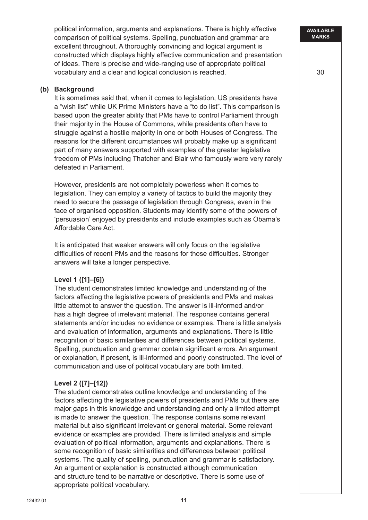political information, arguments and explanations. There is highly effective comparison of political systems. Spelling, punctuation and grammar are excellent throughout. A thoroughly convincing and logical argument is constructed which displays highly effective communication and presentation of ideas. There is precise and wide-ranging use of appropriate political vocabulary and a clear and logical conclusion is reached.

#### **(b) Background**

It is sometimes said that, when it comes to legislation, US presidents have a "wish list" while UK Prime Ministers have a "to do list". This comparison is based upon the greater ability that PMs have to control Parliament through their majority in the House of Commons, while presidents often have to struggle against a hostile majority in one or both Houses of Congress. The reasons for the different circumstances will probably make up a significant part of many answers supported with examples of the greater legislative freedom of PMs including Thatcher and Blair who famously were very rarely defeated in Parliament.

However, presidents are not completely powerless when it comes to legislation. They can employ a variety of tactics to build the majority they need to secure the passage of legislation through Congress, even in the face of organised opposition. Students may identify some of the powers of 'persuasion' enjoyed by presidents and include examples such as Obama's Affordable Care Act.

It is anticipated that weaker answers will only focus on the legislative difficulties of recent PMs and the reasons for those difficulties. Stronger answers will take a longer perspective.

#### **Level 1 ([1]–[6])**

The student demonstrates limited knowledge and understanding of the factors affecting the legislative powers of presidents and PMs and makes little attempt to answer the question. The answer is ill-informed and/or has a high degree of irrelevant material. The response contains general statements and/or includes no evidence or examples. There is little analysis and evaluation of information, arguments and explanations. There is little recognition of basic similarities and differences between political systems. Spelling, punctuation and grammar contain significant errors. An argument or explanation, if present, is ill-informed and poorly constructed. The level of communication and use of political vocabulary are both limited.

#### **Level 2 ([7]–[12])**

The student demonstrates outline knowledge and understanding of the factors affecting the legislative powers of presidents and PMs but there are major gaps in this knowledge and understanding and only a limited attempt is made to answer the question. The response contains some relevant material but also significant irrelevant or general material. Some relevant evidence or examples are provided. There is limited analysis and simple evaluation of political information, arguments and explanations. There is some recognition of basic similarities and differences between political systems. The quality of spelling, punctuation and grammar is satisfactory. An argument or explanation is constructed although communication and structure tend to be narrative or descriptive. There is some use of appropriate political vocabulary.

**AVAILABLE MARKS**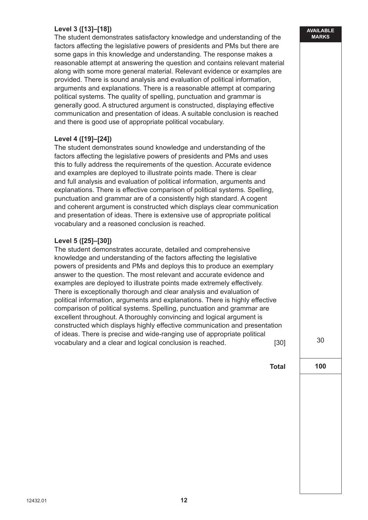# **Level 3 ([13]–[18])**

The student demonstrates satisfactory knowledge and understanding of the factors affecting the legislative powers of presidents and PMs but there are some gaps in this knowledge and understanding. The response makes a reasonable attempt at answering the question and contains relevant material along with some more general material. Relevant evidence or examples are provided. There is sound analysis and evaluation of political information, arguments and explanations. There is a reasonable attempt at comparing political systems. The quality of spelling, punctuation and grammar is generally good. A structured argument is constructed, displaying effective communication and presentation of ideas. A suitable conclusion is reached and there is good use of appropriate political vocabulary.

#### **Level 4 ([19]–[24])**

The student demonstrates sound knowledge and understanding of the factors affecting the legislative powers of presidents and PMs and uses this to fully address the requirements of the question. Accurate evidence and examples are deployed to illustrate points made. There is clear and full analysis and evaluation of political information, arguments and explanations. There is effective comparison of political systems. Spelling, punctuation and grammar are of a consistently high standard. A cogent and coherent argument is constructed which displays clear communication and presentation of ideas. There is extensive use of appropriate political vocabulary and a reasoned conclusion is reached.

#### **Level 5 ([25]–[30])**

The student demonstrates accurate, detailed and comprehensive knowledge and understanding of the factors affecting the legislative powers of presidents and PMs and deploys this to produce an exemplary answer to the question. The most relevant and accurate evidence and examples are deployed to illustrate points made extremely effectively. There is exceptionally thorough and clear analysis and evaluation of political information, arguments and explanations. There is highly effective comparison of political systems. Spelling, punctuation and grammar are excellent throughout. A thoroughly convincing and logical argument is constructed which displays highly effective communication and presentation of ideas. There is precise and wide-ranging use of appropriate political vocabulary and a clear and logical conclusion is reached. [30]

30

**100**

**Total**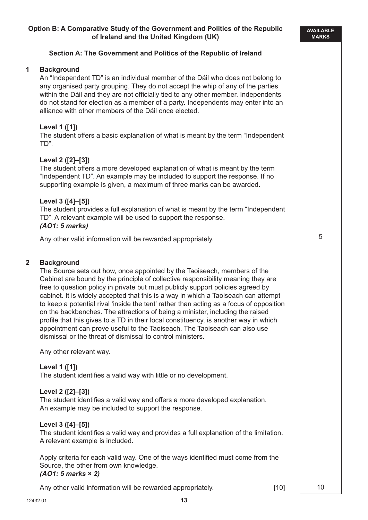#### **Section A: The Government and Politics of the Republic of Ireland**

#### **1 Background**

An "Independent TD" is an individual member of the Dáil who does not belong to any organised party grouping. They do not accept the whip of any of the parties within the Dáil and they are not officially tied to any other member. Independents do not stand for election as a member of a party. Independents may enter into an alliance with other members of the Dáil once elected.

#### **Level 1 ([1])**

The student offers a basic explanation of what is meant by the term "Independent TD".

#### **Level 2 ([2]–[3])**

The student offers a more developed explanation of what is meant by the term "Independent TD". An example may be included to support the response. If no supporting example is given, a maximum of three marks can be awarded.

#### **Level 3 ([4]–[5])**

The student provides a full explanation of what is meant by the term "Independent TD". A relevant example will be used to support the response. *(AO1: 5 marks)*

Any other valid information will be rewarded appropriately.

#### **2 Background**

The Source sets out how, once appointed by the Taoiseach, members of the Cabinet are bound by the principle of collective responsibility meaning they are free to question policy in private but must publicly support policies agreed by cabinet. It is widely accepted that this is a way in which a Taoiseach can attempt to keep a potential rival 'inside the tent' rather than acting as a focus of opposition on the backbenches. The attractions of being a minister, including the raised profile that this gives to a TD in their local constituency, is another way in which appointment can prove useful to the Taoiseach. The Taoiseach can also use dismissal or the threat of dismissal to control ministers.

Any other relevant way.

#### **Level 1 ([1])**

The student identifies a valid way with little or no development.

#### **Level 2 ([2]–[3])**

The student identifies a valid way and offers a more developed explanation. An example may be included to support the response.

#### **Level 3 ([4]–[5])**

The student identifies a valid way and provides a full explanation of the limitation. A relevant example is included.

Apply criteria for each valid way. One of the ways identified must come from the Source, the other from own knowledge. *(AO1: 5 marks* **×** *2)*

**13**

Any other valid information will be rewarded appropriately. [10]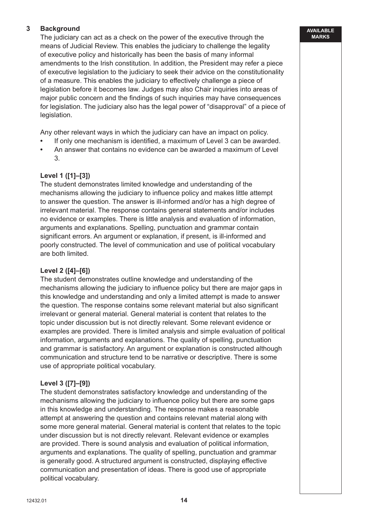# **3 Background**

The judiciary can act as a check on the power of the executive through the means of Judicial Review. This enables the judiciary to challenge the legality of executive policy and historically has been the basis of many informal amendments to the Irish constitution. In addition, the President may refer a piece of executive legislation to the judiciary to seek their advice on the constitutionality of a measure. This enables the judiciary to effectively challenge a piece of legislation before it becomes law. Judges may also Chair inquiries into areas of major public concern and the findings of such inquiries may have consequences for legislation. The judiciary also has the legal power of "disapproval" of a piece of legislation.

Any other relevant ways in which the judiciary can have an impact on policy.

- **•** If only one mechanism is identified, a maximum of Level 3 can be awarded.
- **•** An answer that contains no evidence can be awarded a maximum of Level 3.

#### **Level 1 ([1]–[3])**

The student demonstrates limited knowledge and understanding of the mechanisms allowing the judiciary to influence policy and makes little attempt to answer the question. The answer is ill-informed and/or has a high degree of irrelevant material. The response contains general statements and/or includes no evidence or examples. There is little analysis and evaluation of information, arguments and explanations. Spelling, punctuation and grammar contain significant errors. An argument or explanation, if present, is ill-informed and poorly constructed. The level of communication and use of political vocabulary are both limited.

#### **Level 2 ([4]–[6])**

The student demonstrates outline knowledge and understanding of the mechanisms allowing the judiciary to influence policy but there are major gaps in this knowledge and understanding and only a limited attempt is made to answer the question. The response contains some relevant material but also significant irrelevant or general material. General material is content that relates to the topic under discussion but is not directly relevant. Some relevant evidence or examples are provided. There is limited analysis and simple evaluation of political information, arguments and explanations. The quality of spelling, punctuation and grammar is satisfactory. An argument or explanation is constructed although communication and structure tend to be narrative or descriptive. There is some use of appropriate political vocabulary.

#### **Level 3 ([7]–[9])**

The student demonstrates satisfactory knowledge and understanding of the mechanisms allowing the judiciary to influence policy but there are some gaps in this knowledge and understanding. The response makes a reasonable attempt at answering the question and contains relevant material along with some more general material. General material is content that relates to the topic under discussion but is not directly relevant. Relevant evidence or examples are provided. There is sound analysis and evaluation of political information, arguments and explanations. The quality of spelling, punctuation and grammar is generally good. A structured argument is constructed, displaying effective communication and presentation of ideas. There is good use of appropriate political vocabulary.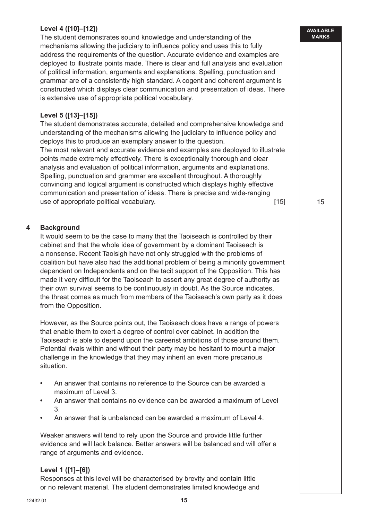# **Level 4 ([10]–[12])**

The student demonstrates sound knowledge and understanding of the mechanisms allowing the judiciary to influence policy and uses this to fully address the requirements of the question. Accurate evidence and examples are deployed to illustrate points made. There is clear and full analysis and evaluation of political information, arguments and explanations. Spelling, punctuation and grammar are of a consistently high standard. A cogent and coherent argument is constructed which displays clear communication and presentation of ideas. There is extensive use of appropriate political vocabulary.

**AVAILABLE MARKS**

15

#### **Level 5 ([13]–[15])**

The student demonstrates accurate, detailed and comprehensive knowledge and understanding of the mechanisms allowing the judiciary to influence policy and deploys this to produce an exemplary answer to the question.

The most relevant and accurate evidence and examples are deployed to illustrate points made extremely effectively. There is exceptionally thorough and clear analysis and evaluation of political information, arguments and explanations. Spelling, punctuation and grammar are excellent throughout. A thoroughly convincing and logical argument is constructed which displays highly effective communication and presentation of ideas. There is precise and wide-ranging use of appropriate political vocabulary. The same state of appropriate political vocabulary.

#### **4 Background**

It would seem to be the case to many that the Taoiseach is controlled by their cabinet and that the whole idea of government by a dominant Taoiseach is a nonsense. Recent Taoisigh have not only struggled with the problems of coalition but have also had the additional problem of being a minority government dependent on Independents and on the tacit support of the Opposition. This has made it very difficult for the Taoiseach to assert any great degree of authority as their own survival seems to be continuously in doubt. As the Source indicates, the threat comes as much from members of the Taoiseach's own party as it does from the Opposition.

However, as the Source points out, the Taoiseach does have a range of powers that enable them to exert a degree of control over cabinet. In addition the Taoiseach is able to depend upon the careerist ambitions of those around them. Potential rivals within and without their party may be hesitant to mount a major challenge in the knowledge that they may inherit an even more precarious situation.

- **•** An answer that contains no reference to the Source can be awarded a maximum of Level 3.
- **•** An answer that contains no evidence can be awarded a maximum of Level 3.
- **•** An answer that is unbalanced can be awarded a maximum of Level 4.

Weaker answers will tend to rely upon the Source and provide little further evidence and will lack balance. Better answers will be balanced and will offer a range of arguments and evidence.

#### **Level 1 ([1]–[6])**

Responses at this level will be characterised by brevity and contain little or no relevant material. The student demonstrates limited knowledge and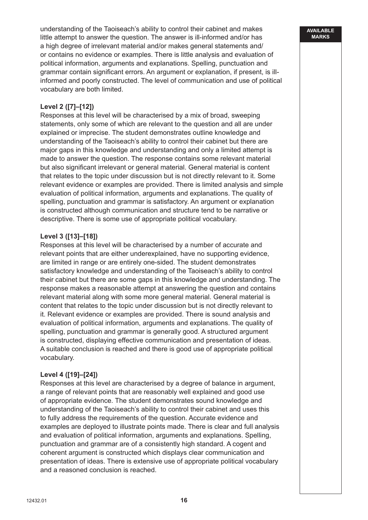understanding of the Taoiseach's ability to control their cabinet and makes little attempt to answer the question. The answer is ill-informed and/or has a high degree of irrelevant material and/or makes general statements and/ or contains no evidence or examples. There is little analysis and evaluation of political information, arguments and explanations. Spelling, punctuation and grammar contain significant errors. An argument or explanation, if present, is illinformed and poorly constructed. The level of communication and use of political vocabulary are both limited.

# **Level 2 ([7]–[12])**

Responses at this level will be characterised by a mix of broad, sweeping statements, only some of which are relevant to the question and all are under explained or imprecise. The student demonstrates outline knowledge and understanding of the Taoiseach's ability to control their cabinet but there are major gaps in this knowledge and understanding and only a limited attempt is made to answer the question. The response contains some relevant material but also significant irrelevant or general material. General material is content that relates to the topic under discussion but is not directly relevant to it. Some relevant evidence or examples are provided. There is limited analysis and simple evaluation of political information, arguments and explanations. The quality of spelling, punctuation and grammar is satisfactory. An argument or explanation is constructed although communication and structure tend to be narrative or descriptive. There is some use of appropriate political vocabulary.

#### **Level 3 ([13]–[18])**

Responses at this level will be characterised by a number of accurate and relevant points that are either underexplained, have no supporting evidence, are limited in range or are entirely one-sided. The student demonstrates satisfactory knowledge and understanding of the Taoiseach's ability to control their cabinet but there are some gaps in this knowledge and understanding. The response makes a reasonable attempt at answering the question and contains relevant material along with some more general material. General material is content that relates to the topic under discussion but is not directly relevant to it. Relevant evidence or examples are provided. There is sound analysis and evaluation of political information, arguments and explanations. The quality of spelling, punctuation and grammar is generally good. A structured argument is constructed, displaying effective communication and presentation of ideas. A suitable conclusion is reached and there is good use of appropriate political vocabulary.

#### **Level 4 ([19]–[24])**

Responses at this level are characterised by a degree of balance in argument, a range of relevant points that are reasonably well explained and good use of appropriate evidence. The student demonstrates sound knowledge and understanding of the Taoiseach's ability to control their cabinet and uses this to fully address the requirements of the question. Accurate evidence and examples are deployed to illustrate points made. There is clear and full analysis and evaluation of political information, arguments and explanations. Spelling, punctuation and grammar are of a consistently high standard. A cogent and coherent argument is constructed which displays clear communication and presentation of ideas. There is extensive use of appropriate political vocabulary and a reasoned conclusion is reached.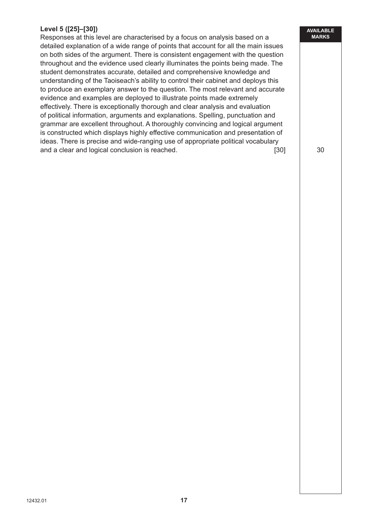# **Level 5 ([25]–[30])**

Responses at this level are characterised by a focus on analysis based on a detailed explanation of a wide range of points that account for all the main issues on both sides of the argument. There is consistent engagement with the question throughout and the evidence used clearly illuminates the points being made. The student demonstrates accurate, detailed and comprehensive knowledge and understanding of the Taoiseach's ability to control their cabinet and deploys this to produce an exemplary answer to the question. The most relevant and accurate evidence and examples are deployed to illustrate points made extremely effectively. There is exceptionally thorough and clear analysis and evaluation of political information, arguments and explanations. Spelling, punctuation and grammar are excellent throughout. A thoroughly convincing and logical argument is constructed which displays highly effective communication and presentation of ideas. There is precise and wide-ranging use of appropriate political vocabulary and a clear and logical conclusion is reached. [30]

30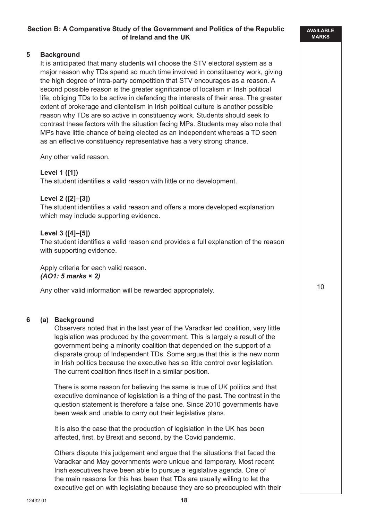#### **AVAILABLE MARKS**

10

#### **5 Background**

It is anticipated that many students will choose the STV electoral system as a major reason why TDs spend so much time involved in constituency work, giving the high degree of intra-party competition that STV encourages as a reason. A second possible reason is the greater significance of localism in Irish political life, obliging TDs to be active in defending the interests of their area. The greater extent of brokerage and clientelism in Irish political culture is another possible reason why TDs are so active in constituency work. Students should seek to contrast these factors with the situation facing MPs. Students may also note that MPs have little chance of being elected as an independent whereas a TD seen as an effective constituency representative has a very strong chance.

Any other valid reason.

#### **Level 1 ([1])**

The student identifies a valid reason with little or no development.

#### **Level 2 ([2]–[3])**

The student identifies a valid reason and offers a more developed explanation which may include supporting evidence.

#### **Level 3 ([4]–[5])**

The student identifies a valid reason and provides a full explanation of the reason with supporting evidence.

Apply criteria for each valid reason. *(AO1: 5 marks* **×** *2)*

Any other valid information will be rewarded appropriately.

#### **6 (a) Background**

Observers noted that in the last year of the Varadkar led coalition, very little legislation was produced by the government. This is largely a result of the government being a minority coalition that depended on the support of a disparate group of Independent TDs. Some argue that this is the new norm in Irish politics because the executive has so little control over legislation. The current coalition finds itself in a similar position.

There is some reason for believing the same is true of UK politics and that executive dominance of legislation is a thing of the past. The contrast in the question statement is therefore a false one. Since 2010 governments have been weak and unable to carry out their legislative plans.

It is also the case that the production of legislation in the UK has been affected, first, by Brexit and second, by the Covid pandemic.

Others dispute this judgement and argue that the situations that faced the Varadkar and May governments were unique and temporary. Most recent Irish executives have been able to pursue a legislative agenda. One of the main reasons for this has been that TDs are usually willing to let the executive get on with legislating because they are so preoccupied with their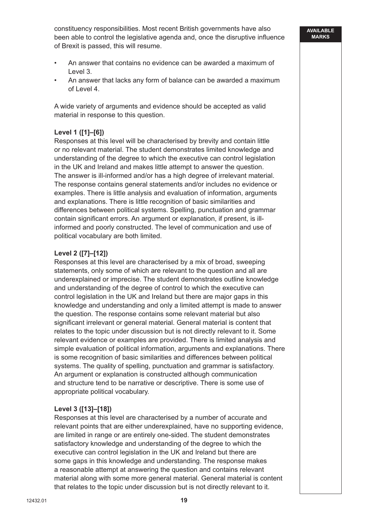constituency responsibilities. Most recent British governments have also been able to control the legislative agenda and, once the disruptive influence of Brexit is passed, this will resume.

- An answer that contains no evidence can be awarded a maximum of Level 3.
- An answer that lacks any form of balance can be awarded a maximum of Level 4.

A wide variety of arguments and evidence should be accepted as valid material in response to this question.

#### **Level 1 ([1]–[6])**

Responses at this level will be characterised by brevity and contain little or no relevant material. The student demonstrates limited knowledge and understanding of the degree to which the executive can control legislation in the UK and Ireland and makes little attempt to answer the question. The answer is ill-informed and/or has a high degree of irrelevant material. The response contains general statements and/or includes no evidence or examples. There is little analysis and evaluation of information, arguments and explanations. There is little recognition of basic similarities and differences between political systems. Spelling, punctuation and grammar contain significant errors. An argument or explanation, if present, is illinformed and poorly constructed. The level of communication and use of political vocabulary are both limited.

#### **Level 2 ([7]–[12])**

Responses at this level are characterised by a mix of broad, sweeping statements, only some of which are relevant to the question and all are underexplained or imprecise. The student demonstrates outline knowledge and understanding of the degree of control to which the executive can control legislation in the UK and Ireland but there are major gaps in this knowledge and understanding and only a limited attempt is made to answer the question. The response contains some relevant material but also significant irrelevant or general material. General material is content that relates to the topic under discussion but is not directly relevant to it. Some relevant evidence or examples are provided. There is limited analysis and simple evaluation of political information, arguments and explanations. There is some recognition of basic similarities and differences between political systems. The quality of spelling, punctuation and grammar is satisfactory. An argument or explanation is constructed although communication and structure tend to be narrative or descriptive. There is some use of appropriate political vocabulary.

#### **Level 3 ([13]–[18])**

Responses at this level are characterised by a number of accurate and relevant points that are either underexplained, have no supporting evidence, are limited in range or are entirely one-sided. The student demonstrates satisfactory knowledge and understanding of the degree to which the executive can control legislation in the UK and Ireland but there are some gaps in this knowledge and understanding. The response makes a reasonable attempt at answering the question and contains relevant material along with some more general material. General material is content that relates to the topic under discussion but is not directly relevant to it.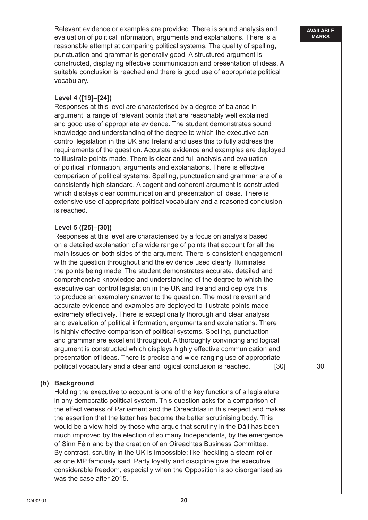Relevant evidence or examples are provided. There is sound analysis and evaluation of political information, arguments and explanations. There is a reasonable attempt at comparing political systems. The quality of spelling, punctuation and grammar is generally good. A structured argument is constructed, displaying effective communication and presentation of ideas. A suitable conclusion is reached and there is good use of appropriate political vocabulary.

#### **Level 4 ([19]–[24])**

Responses at this level are characterised by a degree of balance in argument, a range of relevant points that are reasonably well explained and good use of appropriate evidence. The student demonstrates sound knowledge and understanding of the degree to which the executive can control legislation in the UK and Ireland and uses this to fully address the requirements of the question. Accurate evidence and examples are deployed to illustrate points made. There is clear and full analysis and evaluation of political information, arguments and explanations. There is effective comparison of political systems. Spelling, punctuation and grammar are of a consistently high standard. A cogent and coherent argument is constructed which displays clear communication and presentation of ideas. There is extensive use of appropriate political vocabulary and a reasoned conclusion is reached.

#### **Level 5 ([25]–[30])**

Responses at this level are characterised by a focus on analysis based on a detailed explanation of a wide range of points that account for all the main issues on both sides of the argument. There is consistent engagement with the question throughout and the evidence used clearly illuminates the points being made. The student demonstrates accurate, detailed and comprehensive knowledge and understanding of the degree to which the executive can control legislation in the UK and Ireland and deploys this to produce an exemplary answer to the question. The most relevant and accurate evidence and examples are deployed to illustrate points made extremely effectively. There is exceptionally thorough and clear analysis and evaluation of political information, arguments and explanations. There is highly effective comparison of political systems. Spelling, punctuation and grammar are excellent throughout. A thoroughly convincing and logical argument is constructed which displays highly effective communication and presentation of ideas. There is precise and wide-ranging use of appropriate political vocabulary and a clear and logical conclusion is reached. [30]

#### **(b) Background**

Holding the executive to account is one of the key functions of a legislature in any democratic political system. This question asks for a comparison of the effectiveness of Parliament and the Oireachtas in this respect and makes the assertion that the latter has become the better scrutinising body. This would be a view held by those who argue that scrutiny in the Dáil has been much improved by the election of so many Independents, by the emergence of Sinn Féin and by the creation of an Oireachtas Business Committee. By contrast, scrutiny in the UK is impossible: like 'heckling a steam-roller' as one MP famously said. Party loyalty and discipline give the executive considerable freedom, especially when the Opposition is so disorganised as was the case after 2015.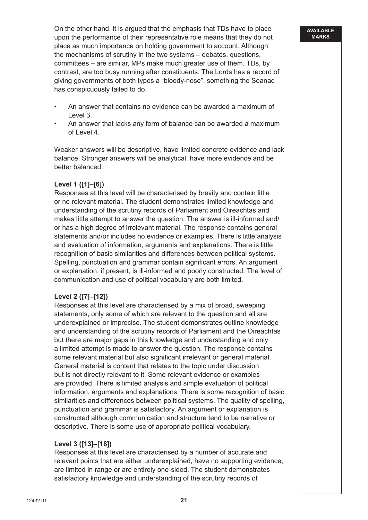On the other hand, it is argued that the emphasis that TDs have to place upon the performance of their representative role means that they do not place as much importance on holding government to account. Although the mechanisms of scrutiny in the two systems – debates, questions, committees – are similar, MPs make much greater use of them. TDs, by contrast, are too busy running after constituents. The Lords has a record of giving governments of both types a "bloody-nose", something the Seanad has conspicuously failed to do.

- An answer that contains no evidence can be awarded a maximum of Level 3.
- An answer that lacks any form of balance can be awarded a maximum of Level 4.

Weaker answers will be descriptive, have limited concrete evidence and lack balance. Stronger answers will be analytical, have more evidence and be better balanced.

#### **Level 1 ([1]–[6])**

Responses at this level will be characterised by brevity and contain little or no relevant material. The student demonstrates limited knowledge and understanding of the scrutiny records of Parliament and Oireachtas and makes little attempt to answer the question. The answer is ill-informed and/ or has a high degree of irrelevant material. The response contains general statements and/or includes no evidence or examples. There is little analysis and evaluation of information, arguments and explanations. There is little recognition of basic similarities and differences between political systems. Spelling, punctuation and grammar contain significant errors. An argument or explanation, if present, is ill-informed and poorly constructed. The level of communication and use of political vocabulary are both limited.

#### **Level 2 ([7]–[12])**

Responses at this level are characterised by a mix of broad, sweeping statements, only some of which are relevant to the question and all are underexplained or imprecise. The student demonstrates outline knowledge and understanding of the scrutiny records of Parliament and the Oireachtas but there are major gaps in this knowledge and understanding and only a limited attempt is made to answer the question. The response contains some relevant material but also significant irrelevant or general material. General material is content that relates to the topic under discussion but is not directly relevant to it. Some relevant evidence or examples are provided. There is limited analysis and simple evaluation of political information, arguments and explanations. There is some recognition of basic similarities and differences between political systems. The quality of spelling, punctuation and grammar is satisfactory. An argument or explanation is constructed although communication and structure tend to be narrative or descriptive. There is some use of appropriate political vocabulary.

#### **Level 3 ([13]–[18])**

Responses at this level are characterised by a number of accurate and relevant points that are either underexplained, have no supporting evidence, are limited in range or are entirely one-sided. The student demonstrates satisfactory knowledge and understanding of the scrutiny records of